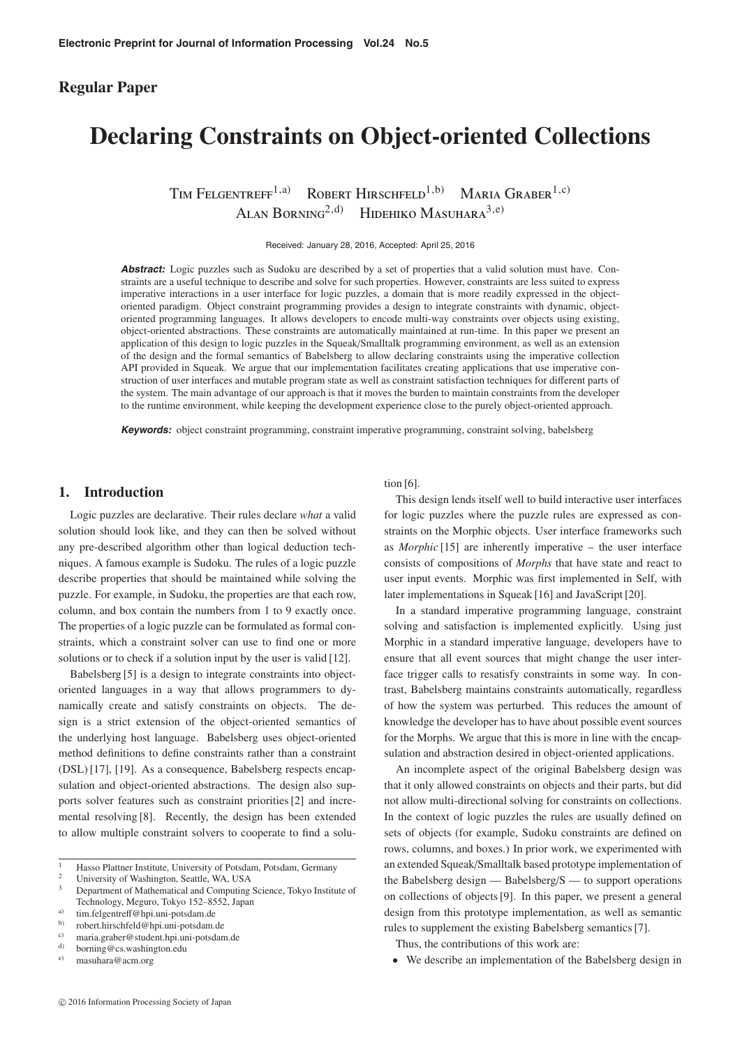## **Regular Paper**

# **Declaring Constraints on Object-oriented Collections**

TIM FELGENTREFF<sup>1,a)</sup> ROBERT HIRSCHFELD<sup>1,b)</sup> MARIA GRABER<sup>1,c)</sup> ALAN BORNING<sup>2,d)</sup> HIDEHIKO MASUHARA<sup>3,e)</sup>

Received: January 28, 2016, Accepted: April 25, 2016

**Abstract:** Logic puzzles such as Sudoku are described by a set of properties that a valid solution must have. Constraints are a useful technique to describe and solve for such properties. However, constraints are less suited to express imperative interactions in a user interface for logic puzzles, a domain that is more readily expressed in the objectoriented paradigm. Object constraint programming provides a design to integrate constraints with dynamic, objectoriented programming languages. It allows developers to encode multi-way constraints over objects using existing, object-oriented abstractions. These constraints are automatically maintained at run-time. In this paper we present an application of this design to logic puzzles in the Squeak/Smalltalk programming environment, as well as an extension of the design and the formal semantics of Babelsberg to allow declaring constraints using the imperative collection API provided in Squeak. We argue that our implementation facilitates creating applications that use imperative construction of user interfaces and mutable program state as well as constraint satisfaction techniques for different parts of the system. The main advantage of our approach is that it moves the burden to maintain constraints from the developer to the runtime environment, while keeping the development experience close to the purely object-oriented approach.

**Keywords:** object constraint programming, constraint imperative programming, constraint solving, babelsberg

## **1. Introduction**

Logic puzzles are declarative. Their rules declare *what* a valid solution should look like, and they can then be solved without any pre-described algorithm other than logical deduction techniques. A famous example is Sudoku. The rules of a logic puzzle describe properties that should be maintained while solving the puzzle. For example, in Sudoku, the properties are that each row, column, and box contain the numbers from 1 to 9 exactly once. The properties of a logic puzzle can be formulated as formal constraints, which a constraint solver can use to find one or more solutions or to check if a solution input by the user is valid [12].

Babelsberg [5] is a design to integrate constraints into objectoriented languages in a way that allows programmers to dynamically create and satisfy constraints on objects. The design is a strict extension of the object-oriented semantics of the underlying host language. Babelsberg uses object-oriented method definitions to define constraints rather than a constraint (DSL) [17], [19]. As a consequence, Babelsberg respects encapsulation and object-oriented abstractions. The design also supports solver features such as constraint priorities [2] and incremental resolving [8]. Recently, the design has been extended to allow multiple constraint solvers to cooperate to find a solution [6].

This design lends itself well to build interactive user interfaces for logic puzzles where the puzzle rules are expressed as constraints on the Morphic objects. User interface frameworks such as *Morphic* [15] are inherently imperative – the user interface consists of compositions of *Morphs* that have state and react to user input events. Morphic was first implemented in Self, with later implementations in Squeak [16] and JavaScript [20].

In a standard imperative programming language, constraint solving and satisfaction is implemented explicitly. Using just Morphic in a standard imperative language, developers have to ensure that all event sources that might change the user interface trigger calls to resatisfy constraints in some way. In contrast, Babelsberg maintains constraints automatically, regardless of how the system was perturbed. This reduces the amount of knowledge the developer has to have about possible event sources for the Morphs. We argue that this is more in line with the encapsulation and abstraction desired in object-oriented applications.

An incomplete aspect of the original Babelsberg design was that it only allowed constraints on objects and their parts, but did not allow multi-directional solving for constraints on collections. In the context of logic puzzles the rules are usually defined on sets of objects (for example, Sudoku constraints are defined on rows, columns, and boxes.) In prior work, we experimented with an extended Squeak/Smalltalk based prototype implementation of the Babelsberg design — Babelsberg/S — to support operations on collections of objects [9]. In this paper, we present a general design from this prototype implementation, as well as semantic rules to supplement the existing Babelsberg semantics [7].

Thus, the contributions of this work are:

• We describe an implementation of the Babelsberg design in

<sup>&</sup>lt;sup>1</sup> Hasso Plattner Institute, University of Potsdam, Potsdam, Germany

<sup>&</sup>lt;sup>2</sup> University of Washington, Seattle, WA, USA<br><sup>3</sup> Department of Mathematical and Commutice.

<sup>3</sup> Department of Mathematical and Computing Science, Tokyo Institute of Technology, Meguro, Tokyo 152–8552, Japan

<sup>&</sup>lt;sup>a)</sup>  $\text{tim.felgentrefl@hpi.uni-potsdam.de}$ 

b) robert.hirschfeld@hpi.uni-potsdam.de

<sup>&</sup>lt;sup>c)</sup> maria.graber@student.hpi.uni-potsdam.de<br> $\omega$  horning@es weshington edu

<sup>&</sup>lt;sup>d)</sup> borning@cs.washington.edu

e) masuhara@acm.org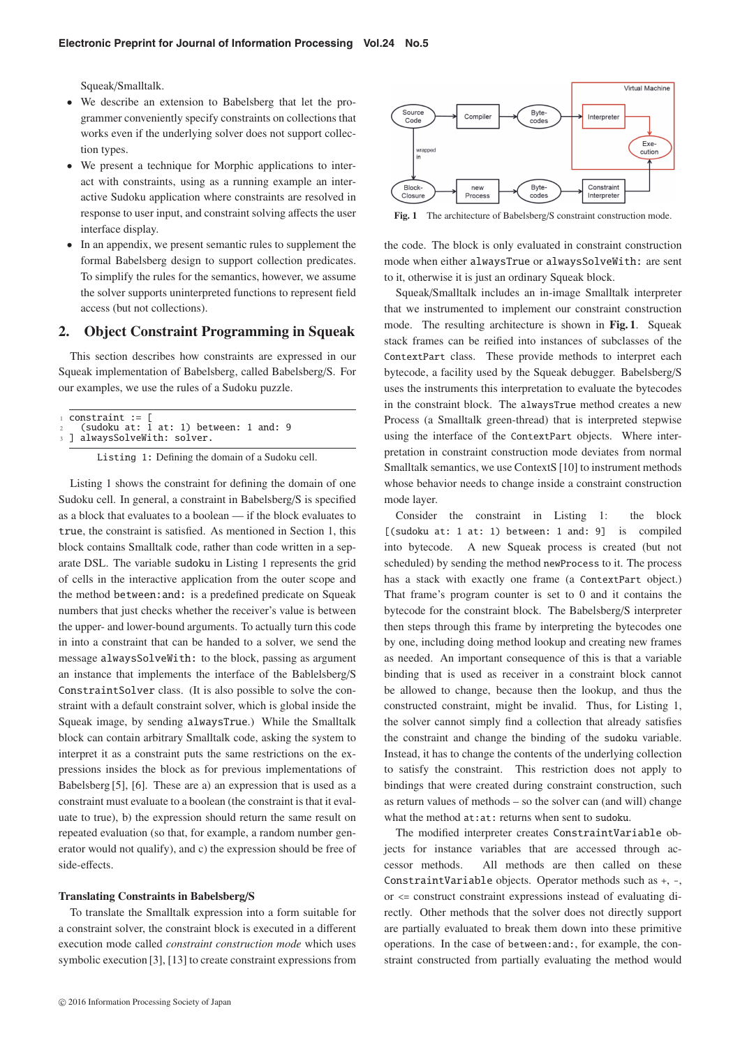Squeak/Smalltalk.

- We describe an extension to Babelsberg that let the programmer conveniently specify constraints on collections that works even if the underlying solver does not support collection types.
- We present a technique for Morphic applications to interact with constraints, using as a running example an interactive Sudoku application where constraints are resolved in response to user input, and constraint solving affects the user interface display.
- In an appendix, we present semantic rules to supplement the formal Babelsberg design to support collection predicates. To simplify the rules for the semantics, however, we assume the solver supports uninterpreted functions to represent field access (but not collections).

## **2. Object Constraint Programming in Squeak**

This section describes how constraints are expressed in our Squeak implementation of Babelsberg, called Babelsberg/S. For our examples, we use the rules of a Sudoku puzzle.

|  | $\alpha$ constraint := $\Gamma$ |  |  |                                          |  |  |
|--|---------------------------------|--|--|------------------------------------------|--|--|
|  |                                 |  |  | 2 (sudoku at: 1 at: 1) between: 1 and: 9 |  |  |
|  | 3 ] alwaysSolveWith: solver.    |  |  |                                          |  |  |

Listing 1: Defining the domain of a Sudoku cell.

Listing 1 shows the constraint for defining the domain of one Sudoku cell. In general, a constraint in Babelsberg/S is specified as a block that evaluates to a boolean — if the block evaluates to true, the constraint is satisfied. As mentioned in Section 1, this block contains Smalltalk code, rather than code written in a separate DSL. The variable sudoku in Listing 1 represents the grid of cells in the interactive application from the outer scope and the method between: and: is a predefined predicate on Squeak numbers that just checks whether the receiver's value is between the upper- and lower-bound arguments. To actually turn this code in into a constraint that can be handed to a solver, we send the message alwaysSolveWith: to the block, passing as argument an instance that implements the interface of the Bablelsberg/S ConstraintSolver class. (It is also possible to solve the constraint with a default constraint solver, which is global inside the Squeak image, by sending alwaysTrue.) While the Smalltalk block can contain arbitrary Smalltalk code, asking the system to interpret it as a constraint puts the same restrictions on the expressions insides the block as for previous implementations of Babelsberg [5], [6]. These are a) an expression that is used as a constraint must evaluate to a boolean (the constraint is that it evaluate to true), b) the expression should return the same result on repeated evaluation (so that, for example, a random number generator would not qualify), and c) the expression should be free of side-effects.

#### **Translating Constraints in Babelsberg**/**S**

To translate the Smalltalk expression into a form suitable for a constraint solver, the constraint block is executed in a different execution mode called *constraint construction mode* which uses symbolic execution [3], [13] to create constraint expressions from



**Fig. 1** The architecture of Babelsberg/S constraint construction mode.

the code. The block is only evaluated in constraint construction mode when either alwaysTrue or alwaysSolveWith: are sent to it, otherwise it is just an ordinary Squeak block.

Squeak/Smalltalk includes an in-image Smalltalk interpreter that we instrumented to implement our constraint construction mode. The resulting architecture is shown in **Fig. 1**. Squeak stack frames can be reified into instances of subclasses of the ContextPart class. These provide methods to interpret each bytecode, a facility used by the Squeak debugger. Babelsberg/S uses the instruments this interpretation to evaluate the bytecodes in the constraint block. The alwaysTrue method creates a new Process (a Smalltalk green-thread) that is interpreted stepwise using the interface of the ContextPart objects. Where interpretation in constraint construction mode deviates from normal Smalltalk semantics, we use ContextS [10] to instrument methods whose behavior needs to change inside a constraint construction mode layer.

Consider the constraint in Listing 1: the block [(sudoku at: 1 at: 1) between: 1 and: 9] is compiled into bytecode. A new Squeak process is created (but not scheduled) by sending the method newProcess to it. The process has a stack with exactly one frame (a ContextPart object.) That frame's program counter is set to 0 and it contains the bytecode for the constraint block. The Babelsberg/S interpreter then steps through this frame by interpreting the bytecodes one by one, including doing method lookup and creating new frames as needed. An important consequence of this is that a variable binding that is used as receiver in a constraint block cannot be allowed to change, because then the lookup, and thus the constructed constraint, might be invalid. Thus, for Listing 1, the solver cannot simply find a collection that already satisfies the constraint and change the binding of the sudoku variable. Instead, it has to change the contents of the underlying collection to satisfy the constraint. This restriction does not apply to bindings that were created during constraint construction, such as return values of methods – so the solver can (and will) change what the method at:at: returns when sent to sudoku.

The modified interpreter creates ConstraintVariable objects for instance variables that are accessed through accessor methods. All methods are then called on these ConstraintVariable objects. Operator methods such as +, -, or <= construct constraint expressions instead of evaluating directly. Other methods that the solver does not directly support are partially evaluated to break them down into these primitive operations. In the case of between:and:, for example, the constraint constructed from partially evaluating the method would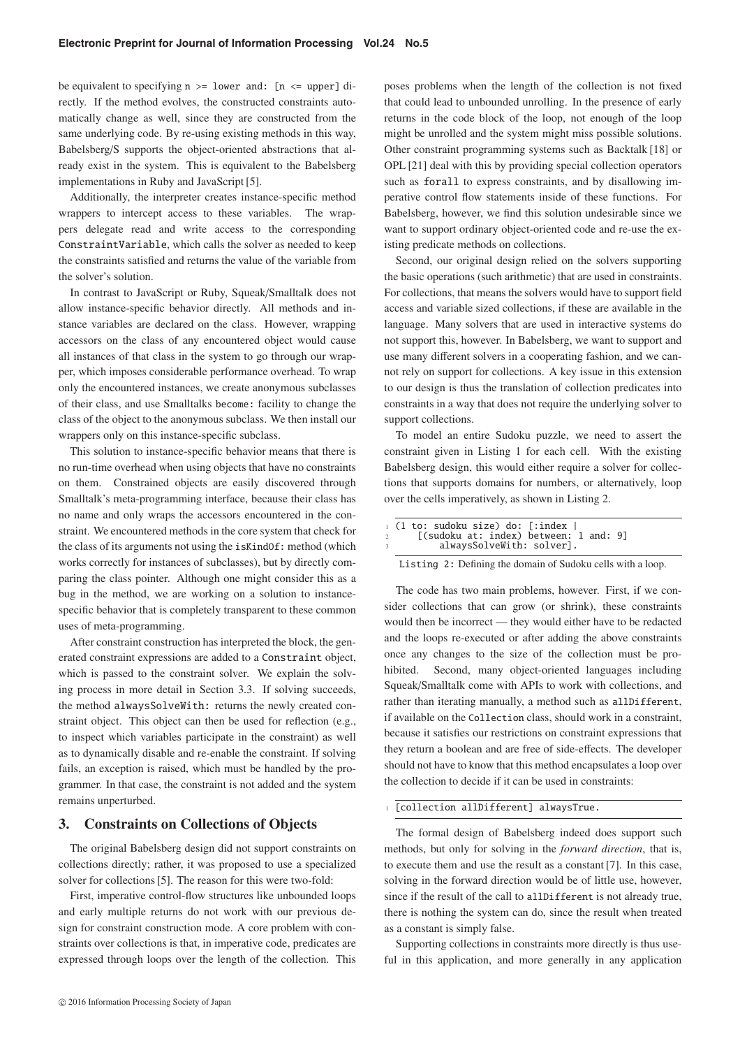be equivalent to specifying  $n \geq 1$  ower and:  $[n \leq 1]$  upper  $\exists$  directly. If the method evolves, the constructed constraints automatically change as well, since they are constructed from the same underlying code. By re-using existing methods in this way, Babelsberg/S supports the object-oriented abstractions that already exist in the system. This is equivalent to the Babelsberg implementations in Ruby and JavaScript [5].

Additionally, the interpreter creates instance-specific method wrappers to intercept access to these variables. The wrappers delegate read and write access to the corresponding ConstraintVariable, which calls the solver as needed to keep the constraints satisfied and returns the value of the variable from the solver's solution.

In contrast to JavaScript or Ruby, Squeak/Smalltalk does not allow instance-specific behavior directly. All methods and instance variables are declared on the class. However, wrapping accessors on the class of any encountered object would cause all instances of that class in the system to go through our wrapper, which imposes considerable performance overhead. To wrap only the encountered instances, we create anonymous subclasses of their class, and use Smalltalks become: facility to change the class of the object to the anonymous subclass. We then install our wrappers only on this instance-specific subclass.

This solution to instance-specific behavior means that there is no run-time overhead when using objects that have no constraints on them. Constrained objects are easily discovered through Smalltalk's meta-programming interface, because their class has no name and only wraps the accessors encountered in the constraint. We encountered methods in the core system that check for the class of its arguments not using the isKindOf: method (which works correctly for instances of subclasses), but by directly comparing the class pointer. Although one might consider this as a bug in the method, we are working on a solution to instancespecific behavior that is completely transparent to these common uses of meta-programming.

After constraint construction has interpreted the block, the generated constraint expressions are added to a Constraint object, which is passed to the constraint solver. We explain the solving process in more detail in Section 3.3. If solving succeeds, the method alwaysSolveWith: returns the newly created constraint object. This object can then be used for reflection (e.g., to inspect which variables participate in the constraint) as well as to dynamically disable and re-enable the constraint. If solving fails, an exception is raised, which must be handled by the programmer. In that case, the constraint is not added and the system remains unperturbed.

## **3. Constraints on Collections of Objects**

The original Babelsberg design did not support constraints on collections directly; rather, it was proposed to use a specialized solver for collections [5]. The reason for this were two-fold:

First, imperative control-flow structures like unbounded loops and early multiple returns do not work with our previous design for constraint construction mode. A core problem with constraints over collections is that, in imperative code, predicates are expressed through loops over the length of the collection. This

poses problems when the length of the collection is not fixed that could lead to unbounded unrolling. In the presence of early returns in the code block of the loop, not enough of the loop might be unrolled and the system might miss possible solutions. Other constraint programming systems such as Backtalk [18] or OPL [21] deal with this by providing special collection operators such as forall to express constraints, and by disallowing imperative control flow statements inside of these functions. For Babelsberg, however, we find this solution undesirable since we want to support ordinary object-oriented code and re-use the existing predicate methods on collections.

Second, our original design relied on the solvers supporting the basic operations (such arithmetic) that are used in constraints. For collections, that means the solvers would have to support field access and variable sized collections, if these are available in the language. Many solvers that are used in interactive systems do not support this, however. In Babelsberg, we want to support and use many different solvers in a cooperating fashion, and we cannot rely on support for collections. A key issue in this extension to our design is thus the translation of collection predicates into constraints in a way that does not require the underlying solver to support collections.

To model an entire Sudoku puzzle, we need to assert the constraint given in Listing 1 for each cell. With the existing Babelsberg design, this would either require a solver for collections that supports domains for numbers, or alternatively, loop over the cells imperatively, as shown in Listing 2.

|               | ⊥ (1 to: sudoku size) do: [:index      |  |  |  |  |  |  |  |
|---------------|----------------------------------------|--|--|--|--|--|--|--|
| $2^{\circ}$   | [(sudoku at: index) between: 1 and: 9] |  |  |  |  |  |  |  |
| $\mathcal{R}$ | alwaysSolveWith: solver].              |  |  |  |  |  |  |  |

Listing 2: Defining the domain of Sudoku cells with a loop.

The code has two main problems, however. First, if we consider collections that can grow (or shrink), these constraints would then be incorrect — they would either have to be redacted and the loops re-executed or after adding the above constraints once any changes to the size of the collection must be prohibited. Second, many object-oriented languages including Squeak/Smalltalk come with APIs to work with collections, and rather than iterating manually, a method such as allDifferent, if available on the Collection class, should work in a constraint, because it satisfies our restrictions on constraint expressions that they return a boolean and are free of side-effects. The developer should not have to know that this method encapsulates a loop over the collection to decide if it can be used in constraints:

#### <sup>1</sup> [collection allDifferent] alwaysTrue.

The formal design of Babelsberg indeed does support such methods, but only for solving in the *forward direction*, that is, to execute them and use the result as a constant [7]. In this case, solving in the forward direction would be of little use, however, since if the result of the call to allDifferent is not already true, there is nothing the system can do, since the result when treated as a constant is simply false.

Supporting collections in constraints more directly is thus useful in this application, and more generally in any application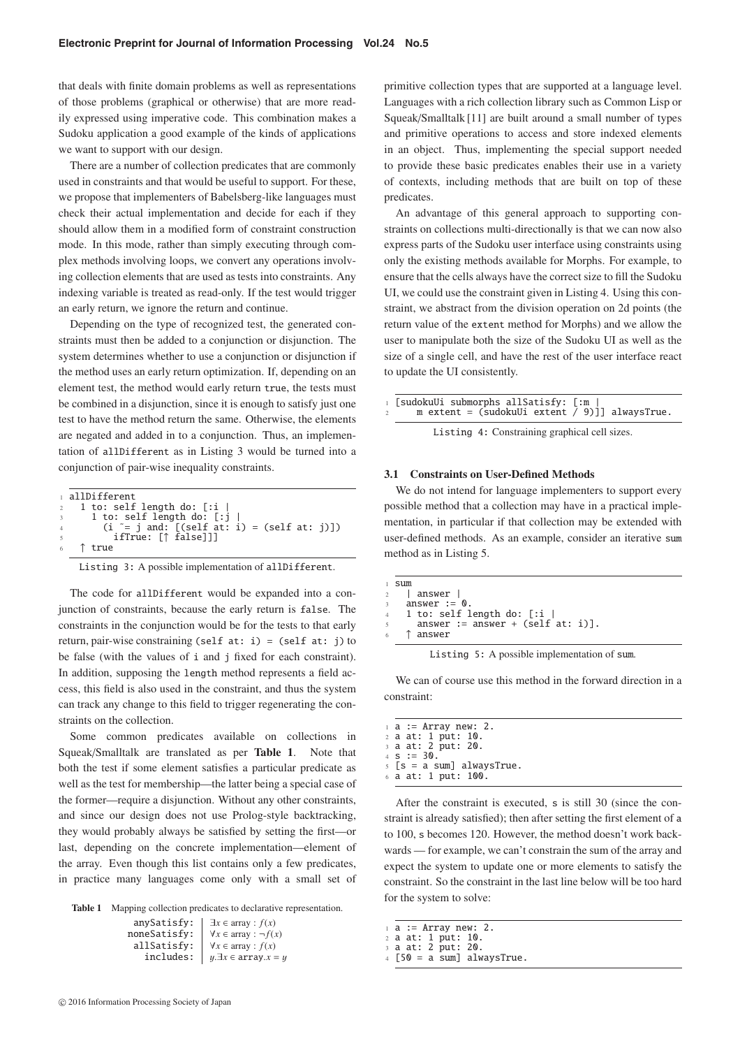that deals with finite domain problems as well as representations of those problems (graphical or otherwise) that are more readily expressed using imperative code. This combination makes a Sudoku application a good example of the kinds of applications we want to support with our design.

There are a number of collection predicates that are commonly used in constraints and that would be useful to support. For these, we propose that implementers of Babelsberg-like languages must check their actual implementation and decide for each if they should allow them in a modified form of constraint construction mode. In this mode, rather than simply executing through complex methods involving loops, we convert any operations involving collection elements that are used as tests into constraints. Any indexing variable is treated as read-only. If the test would trigger an early return, we ignore the return and continue.

Depending on the type of recognized test, the generated constraints must then be added to a conjunction or disjunction. The system determines whether to use a conjunction or disjunction if the method uses an early return optimization. If, depending on an element test, the method would early return true, the tests must be combined in a disjunction, since it is enough to satisfy just one test to have the method return the same. Otherwise, the elements are negated and added in to a conjunction. Thus, an implementation of allDifferent as in Listing 3 would be turned into a conjunction of pair-wise inequality constraints.

|                | allDifferent                                                      |  |
|----------------|-------------------------------------------------------------------|--|
|                | $2 \t1$ to: self length do: $\lceil :i \rceil$                    |  |
|                | $\frac{1}{3}$ 1 to: self length do: $\lceil : \frac{1}{3} \rceil$ |  |
| 4              | $(i \tilde{i} = j \text{ and: } [(self at: i) = (self at: j)])$   |  |
| $\overline{5}$ | ifTrue: [↑ false]]]                                               |  |
|                | $6$ T true                                                        |  |

Listing 3: A possible implementation of allDifferent.

The code for allDifferent would be expanded into a conjunction of constraints, because the early return is false. The constraints in the conjunction would be for the tests to that early return, pair-wise constraining (self at: i) = (self at: j) to be false (with the values of i and j fixed for each constraint). In addition, supposing the length method represents a field access, this field is also used in the constraint, and thus the system can track any change to this field to trigger regenerating the constraints on the collection.

Some common predicates available on collections in Squeak/Smalltalk are translated as per **Table 1**. Note that both the test if some element satisfies a particular predicate as well as the test for membership—the latter being a special case of the former—require a disjunction. Without any other constraints, and since our design does not use Prolog-style backtracking, they would probably always be satisfied by setting the first—or last, depending on the concrete implementation—element of the array. Even though this list contains only a few predicates, in practice many languages come only with a small set of

**Table 1** Mapping collection predicates to declarative representation.

| anySatisfy:  | $\exists x \in \text{array} : f(x)$      |
|--------------|------------------------------------------|
| noneSatisfy: | $\forall x \in \text{array} : \neg f(x)$ |
| allSatisfy:  | $\forall x \in \text{array} : f(x)$      |
| includes:    | $y.\exists x \in \text{array}.x = y$     |
|              |                                          |

primitive collection types that are supported at a language level. Languages with a rich collection library such as Common Lisp or Squeak/Smalltalk [11] are built around a small number of types and primitive operations to access and store indexed elements in an object. Thus, implementing the special support needed to provide these basic predicates enables their use in a variety of contexts, including methods that are built on top of these predicates.

An advantage of this general approach to supporting constraints on collections multi-directionally is that we can now also express parts of the Sudoku user interface using constraints using only the existing methods available for Morphs. For example, to ensure that the cells always have the correct size to fill the Sudoku UI, we could use the constraint given in Listing 4. Using this constraint, we abstract from the division operation on 2d points (the return value of the extent method for Morphs) and we allow the user to manipulate both the size of the Sudoku UI as well as the size of a single cell, and have the rest of the user interface react to update the UI consistently.

|--|

Listing 4: Constraining graphical cell sizes.

#### **3.1 Constraints on User-Defined Methods**

We do not intend for language implementers to support every possible method that a collection may have in a practical implementation, in particular if that collection may be extended with user-defined methods. As an example, consider an iterative sum method as in Listing 5.

| 1 Sum                                        |
|----------------------------------------------|
| $2 \frac{1}{2}$ answer                       |
| 3 answer $:= 0$ .                            |
| $4$ 1 to: self length do: $\lceil$ :i        |
| $5$ answer := answer + (self at: i)].        |
| $6 \quad$ $\uparrow$ answer                  |
|                                              |
| Listing 5: A possible implementation of sum. |

We can of course use this method in the forward direction in a constraint:

|  | $\pm$ a := Array new: 2.        |
|--|---------------------------------|
|  | 2 a at: 1 put: 10.              |
|  | 3 a at: 2 put: 20.              |
|  | $4 S := 30.$                    |
|  | $5 \leq s$ = a sum] alwaysTrue. |
|  | $6$ a at: 1 put: 100.           |
|  |                                 |
|  |                                 |

After the constraint is executed, s is still 30 (since the constraint is already satisfied); then after setting the first element of a to 100, s becomes 120. However, the method doesn't work backwards — for example, we can't constrain the sum of the array and expect the system to update one or more elements to satisfy the constraint. So the constraint in the last line below will be too hard for the system to solve:

- <sup>1</sup> a := Array new: 2.
- <sup>2</sup> a at: 1 put: 10. <sup>3</sup> a at: 2 put: 20.
- $[50 = a \text{ sum}]$  alwaysTrue.

 $© 2016 Information Processing Society of Japan$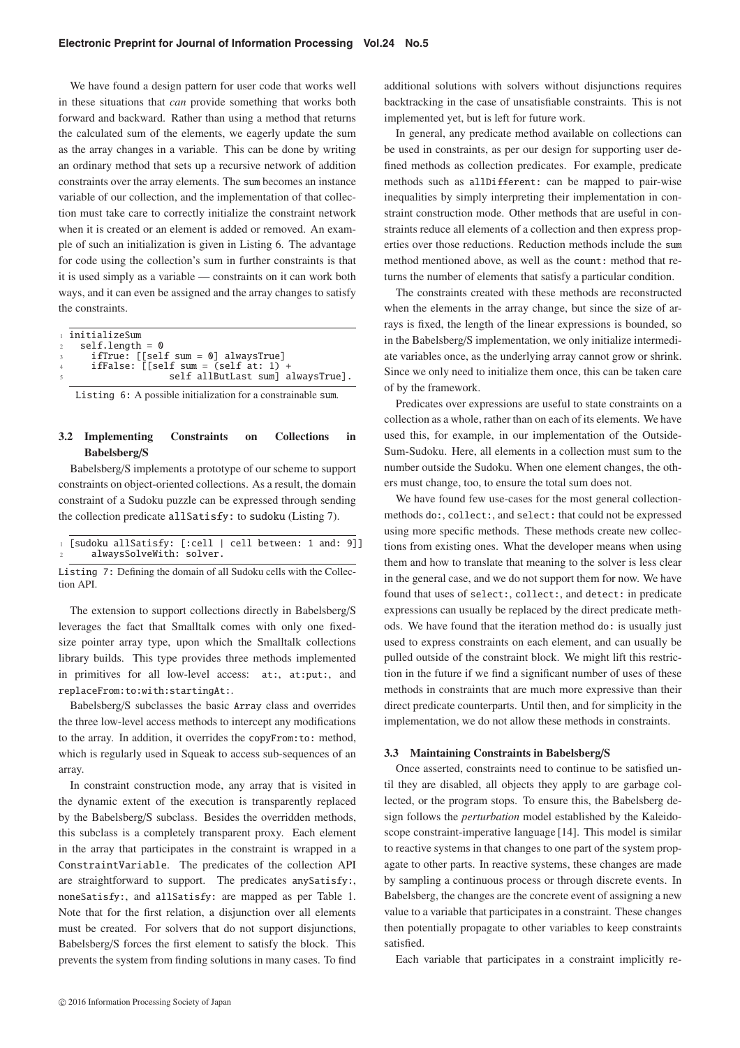We have found a design pattern for user code that works well in these situations that *can* provide something that works both forward and backward. Rather than using a method that returns the calculated sum of the elements, we eagerly update the sum as the array changes in a variable. This can be done by writing an ordinary method that sets up a recursive network of addition constraints over the array elements. The sum becomes an instance variable of our collection, and the implementation of that collection must take care to correctly initialize the constraint network when it is created or an element is added or removed. An example of such an initialization is given in Listing 6. The advantage for code using the collection's sum in further constraints is that it is used simply as a variable — constraints on it can work both ways, and it can even be assigned and the array changes to satisfy the constraints.

|                | ⊤ initializeSum                                                |
|----------------|----------------------------------------------------------------|
| $2^{\circ}$    | $self.length = 0$                                              |
| $\mathcal{R}$  | ifTrue: $[5e1f \text{ sum} = 0]$ alwaysTrue]                   |
| $\overline{4}$ | ifFalse: $\lceil \text{Self sum} \rceil = \text{Self at: 1} +$ |
| $\sim$         | self allButLast sum] alwaysTrue].                              |
|                |                                                                |

Listing 6: A possible initialization for a constrainable sum.

## **3.2 Implementing Constraints on Collections in Babelsberg**/**S**

Babelsberg/S implements a prototype of our scheme to support constraints on object-oriented collections. As a result, the domain constraint of a Sudoku puzzle can be expressed through sending the collection predicate allSatisfy: to sudoku (Listing 7).

| 1 [sudoku allSatisfy: [:cell   cell between: 1 and: 9]] |  |  |  |
|---------------------------------------------------------|--|--|--|
| alwaysSolveWith: solver.                                |  |  |  |

Listing 7: Defining the domain of all Sudoku cells with the Collection API.

The extension to support collections directly in Babelsberg/S leverages the fact that Smalltalk comes with only one fixedsize pointer array type, upon which the Smalltalk collections library builds. This type provides three methods implemented in primitives for all low-level access: at:, at:put:, and replaceFrom:to:with:startingAt:.

Babelsberg/S subclasses the basic Array class and overrides the three low-level access methods to intercept any modifications to the array. In addition, it overrides the copyFrom:to: method, which is regularly used in Squeak to access sub-sequences of an array.

In constraint construction mode, any array that is visited in the dynamic extent of the execution is transparently replaced by the Babelsberg/S subclass. Besides the overridden methods, this subclass is a completely transparent proxy. Each element in the array that participates in the constraint is wrapped in a ConstraintVariable. The predicates of the collection API are straightforward to support. The predicates anySatisfy:, noneSatisfy:, and allSatisfy: are mapped as per Table 1. Note that for the first relation, a disjunction over all elements must be created. For solvers that do not support disjunctions, Babelsberg/S forces the first element to satisfy the block. This prevents the system from finding solutions in many cases. To find

 $© 2016 Information Processing Society of Japan$ 

additional solutions with solvers without disjunctions requires backtracking in the case of unsatisfiable constraints. This is not implemented yet, but is left for future work.

In general, any predicate method available on collections can be used in constraints, as per our design for supporting user defined methods as collection predicates. For example, predicate methods such as allDifferent: can be mapped to pair-wise inequalities by simply interpreting their implementation in constraint construction mode. Other methods that are useful in constraints reduce all elements of a collection and then express properties over those reductions. Reduction methods include the sum method mentioned above, as well as the count: method that returns the number of elements that satisfy a particular condition.

The constraints created with these methods are reconstructed when the elements in the array change, but since the size of arrays is fixed, the length of the linear expressions is bounded, so in the Babelsberg/S implementation, we only initialize intermediate variables once, as the underlying array cannot grow or shrink. Since we only need to initialize them once, this can be taken care of by the framework.

Predicates over expressions are useful to state constraints on a collection as a whole, rather than on each of its elements. We have used this, for example, in our implementation of the Outside-Sum-Sudoku. Here, all elements in a collection must sum to the number outside the Sudoku. When one element changes, the others must change, too, to ensure the total sum does not.

We have found few use-cases for the most general collectionmethods do:, collect:, and select: that could not be expressed using more specific methods. These methods create new collections from existing ones. What the developer means when using them and how to translate that meaning to the solver is less clear in the general case, and we do not support them for now. We have found that uses of select:, collect:, and detect: in predicate expressions can usually be replaced by the direct predicate methods. We have found that the iteration method do: is usually just used to express constraints on each element, and can usually be pulled outside of the constraint block. We might lift this restriction in the future if we find a significant number of uses of these methods in constraints that are much more expressive than their direct predicate counterparts. Until then, and for simplicity in the implementation, we do not allow these methods in constraints.

#### **3.3 Maintaining Constraints in Babelsberg**/**S**

Once asserted, constraints need to continue to be satisfied until they are disabled, all objects they apply to are garbage collected, or the program stops. To ensure this, the Babelsberg design follows the *perturbation* model established by the Kaleidoscope constraint-imperative language [14]. This model is similar to reactive systems in that changes to one part of the system propagate to other parts. In reactive systems, these changes are made by sampling a continuous process or through discrete events. In Babelsberg, the changes are the concrete event of assigning a new value to a variable that participates in a constraint. These changes then potentially propagate to other variables to keep constraints satisfied.

Each variable that participates in a constraint implicitly re-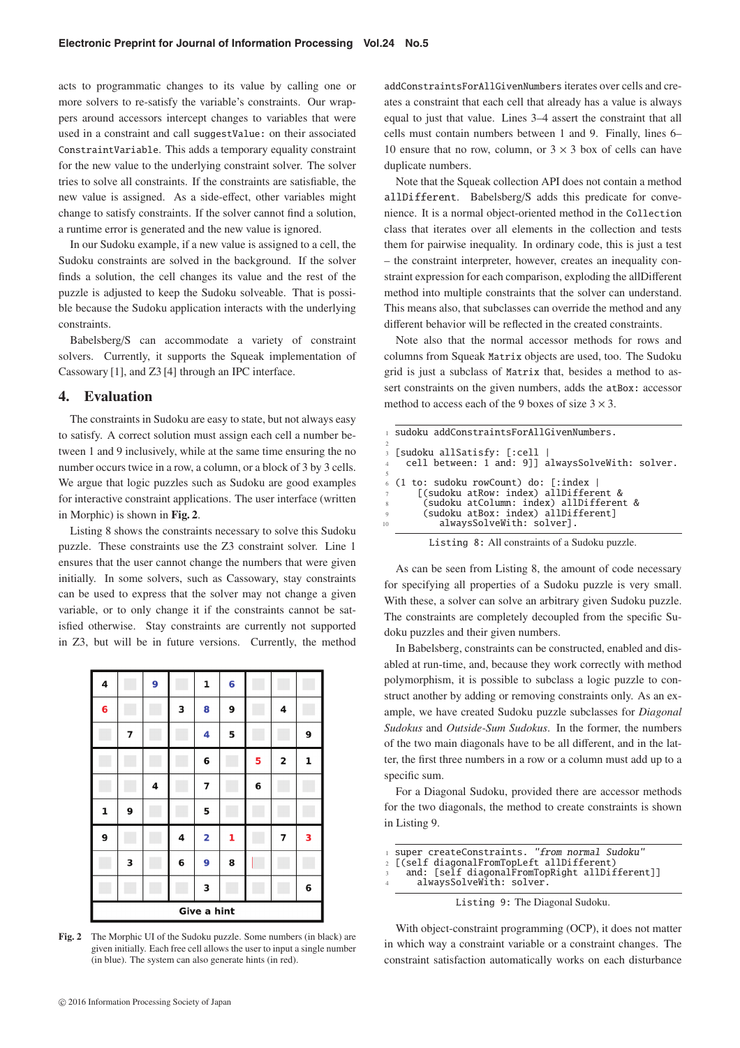acts to programmatic changes to its value by calling one or more solvers to re-satisfy the variable's constraints. Our wrappers around accessors intercept changes to variables that were used in a constraint and call suggestValue: on their associated ConstraintVariable. This adds a temporary equality constraint for the new value to the underlying constraint solver. The solver tries to solve all constraints. If the constraints are satisfiable, the new value is assigned. As a side-effect, other variables might change to satisfy constraints. If the solver cannot find a solution, a runtime error is generated and the new value is ignored.

In our Sudoku example, if a new value is assigned to a cell, the Sudoku constraints are solved in the background. If the solver finds a solution, the cell changes its value and the rest of the puzzle is adjusted to keep the Sudoku solveable. That is possible because the Sudoku application interacts with the underlying constraints.

Babelsberg/S can accommodate a variety of constraint solvers. Currently, it supports the Squeak implementation of Cassowary [1], and Z3 [4] through an IPC interface.

#### **4. Evaluation**

The constraints in Sudoku are easy to state, but not always easy to satisfy. A correct solution must assign each cell a number between 1 and 9 inclusively, while at the same time ensuring the no number occurs twice in a row, a column, or a block of 3 by 3 cells. We argue that logic puzzles such as Sudoku are good examples for interactive constraint applications. The user interface (written in Morphic) is shown in **Fig. 2**.

Listing 8 shows the constraints necessary to solve this Sudoku puzzle. These constraints use the Z3 constraint solver. Line 1 ensures that the user cannot change the numbers that were given initially. In some solvers, such as Cassowary, stay constraints can be used to express that the solver may not change a given variable, or to only change it if the constraints cannot be satisfied otherwise. Stay constraints are currently not supported in Z3, but will be in future versions. Currently, the method



**Fig. 2** The Morphic UI of the Sudoku puzzle. Some numbers (in black) are given initially. Each free cell allows the user to input a single number (in blue). The system can also generate hints (in red).

addConstraintsForAllGivenNumbers iterates over cells and creates a constraint that each cell that already has a value is always equal to just that value. Lines 3–4 assert the constraint that all cells must contain numbers between 1 and 9. Finally, lines 6– 10 ensure that no row, column, or  $3 \times 3$  box of cells can have duplicate numbers.

Note that the Squeak collection API does not contain a method allDifferent. Babelsberg/S adds this predicate for convenience. It is a normal object-oriented method in the Collection class that iterates over all elements in the collection and tests them for pairwise inequality. In ordinary code, this is just a test – the constraint interpreter, however, creates an inequality constraint expression for each comparison, exploding the allDifferent method into multiple constraints that the solver can understand. This means also, that subclasses can override the method and any different behavior will be reflected in the created constraints.

Note also that the normal accessor methods for rows and columns from Squeak Matrix objects are used, too. The Sudoku grid is just a subclass of Matrix that, besides a method to assert constraints on the given numbers, adds the atBox: accessor method to access each of the 9 boxes of size  $3 \times 3$ .

|                                              | sudoku addConstraintsForAllGivenNumbers.                                                                                                                                                        |  |  |  |  |  |
|----------------------------------------------|-------------------------------------------------------------------------------------------------------------------------------------------------------------------------------------------------|--|--|--|--|--|
|                                              | 3 [sudoku allSatisfy: [:cell  <br>4 cell between: 1 and: 9]] alwaysSolveWith: solver.                                                                                                           |  |  |  |  |  |
| $7\phantom{.0}$<br>8<br>$\overline{Q}$<br>10 | 6 (1 to: sudoku rowCount) do: [:index  <br>[(sudoku atRow: index) allDifferent &<br>(sudoku atColumn: index) allDifferent &<br>(sudoku atBox: index) allDifferent]<br>alwaysSolveWith: solver]. |  |  |  |  |  |

|  |  |  | Listing 8: All constraints of a Sudoku puzzle. |  |  |  |
|--|--|--|------------------------------------------------|--|--|--|
|--|--|--|------------------------------------------------|--|--|--|

As can be seen from Listing 8, the amount of code necessary for specifying all properties of a Sudoku puzzle is very small. With these, a solver can solve an arbitrary given Sudoku puzzle. The constraints are completely decoupled from the specific Sudoku puzzles and their given numbers.

In Babelsberg, constraints can be constructed, enabled and disabled at run-time, and, because they work correctly with method polymorphism, it is possible to subclass a logic puzzle to construct another by adding or removing constraints only. As an example, we have created Sudoku puzzle subclasses for *Diagonal Sudokus* and *Outside-Sum Sudokus*. In the former, the numbers of the two main diagonals have to be all different, and in the latter, the first three numbers in a row or a column must add up to a specific sum.

For a Diagonal Sudoku, provided there are accessor methods for the two diagonals, the method to create constraints is shown in Listing 9.

```
super createConstraints. "from normal Sudoku"
```

```
2 [(self diagonalFromTopLeft allDifferent)
```
and: [self diagonalFromTopRight allDifferent]] alwaysSolveWith: solver.

Listing 9: The Diagonal Sudoku.

With object-constraint programming (OCP), it does not matter in which way a constraint variable or a constraint changes. The constraint satisfaction automatically works on each disturbance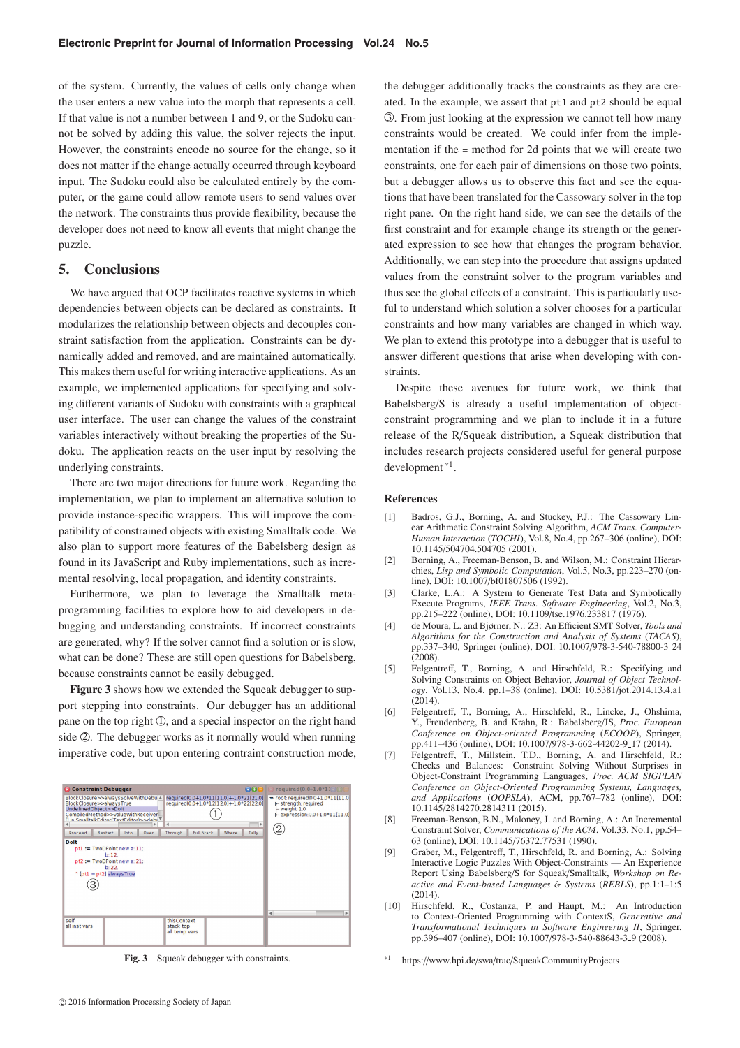of the system. Currently, the values of cells only change when the user enters a new value into the morph that represents a cell. If that value is not a number between 1 and 9, or the Sudoku cannot be solved by adding this value, the solver rejects the input. However, the constraints encode no source for the change, so it does not matter if the change actually occurred through keyboard input. The Sudoku could also be calculated entirely by the computer, or the game could allow remote users to send values over the network. The constraints thus provide flexibility, because the developer does not need to know all events that might change the puzzle.

## **5. Conclusions**

We have argued that OCP facilitates reactive systems in which dependencies between objects can be declared as constraints. It modularizes the relationship between objects and decouples constraint satisfaction from the application. Constraints can be dynamically added and removed, and are maintained automatically. This makes them useful for writing interactive applications. As an example, we implemented applications for specifying and solving different variants of Sudoku with constraints with a graphical user interface. The user can change the values of the constraint variables interactively without breaking the properties of the Sudoku. The application reacts on the user input by resolving the underlying constraints.

There are two major directions for future work. Regarding the implementation, we plan to implement an alternative solution to provide instance-specific wrappers. This will improve the compatibility of constrained objects with existing Smalltalk code. We also plan to support more features of the Babelsberg design as found in its JavaScript and Ruby implementations, such as incremental resolving, local propagation, and identity constraints.

Furthermore, we plan to leverage the Smalltalk metaprogramming facilities to explore how to aid developers in debugging and understanding constraints. If incorrect constraints are generated, why? If the solver cannot find a solution or is slow, what can be done? These are still open questions for Babelsberg, because constraints cannot be easily debugged.

**Figure 3** shows how we extended the Squeak debugger to support stepping into constraints. Our debugger has an additional pane on the top right  $\mathbb{O}$ , and a special inspector on the right hand side 2. The debugger works as it normally would when running imperative code, but upon entering contraint construction mode,

| <b>Constraint Debugger</b>                                                                                                                                                                                                    | $\Theta$ $\Theta$                                                                                                                                                         | required(0.0+1.0*1100)                                                                                                                                         |  |  |  |
|-------------------------------------------------------------------------------------------------------------------------------------------------------------------------------------------------------------------------------|---------------------------------------------------------------------------------------------------------------------------------------------------------------------------|----------------------------------------------------------------------------------------------------------------------------------------------------------------|--|--|--|
| BlockClosure>>alwaysSolveWithDebu A<br>BlockClosure>>alwaysTrue<br>UndefinedObject>>Dolt<br>CompiledMethod>>valueWithReceiver<br>[] in SmalltalkEditor(TextEditor)>>debi<br>Proceed<br>Restart<br>Into<br>Over<br><b>Dolt</b> | required(0.0+1.0*11[11.0]+-1.0*21[21.0]<br>required(0.0+1.0*12[12.0]+-1.0*22[22.0]<br>$\blacktriangleleft$<br>Þ.<br><b>Full Stack</b><br>Where<br><b>Tally</b><br>Through | $\sqrt{\phantom{a}}$ root required(0.0+1.0*11[11.0]<br><b>b</b> -strength: required<br>$-$ weight: $1.0$<br>$\blacktriangleright$ expression: 0.0+1.0*11[11.0] |  |  |  |
| $pt1 := TwoDeoint new a: 11.$<br>b:12.<br>$pt2 := TwoDPoint new a: 21;$<br>b: 22.<br>$\hat{p}$ [pt1 = pt2] always True                                                                                                        |                                                                                                                                                                           |                                                                                                                                                                |  |  |  |
| self<br>all inst vars                                                                                                                                                                                                         | thisContext<br>stack top<br>all temp vars                                                                                                                                 | Þ<br>$\blacktriangleleft$                                                                                                                                      |  |  |  |

**Fig. 3** Squeak debugger with constraints.

the debugger additionally tracks the constraints as they are created. In the example, we assert that pt1 and pt2 should be equal -3 . From just looking at the expression we cannot tell how many constraints would be created. We could infer from the implementation if the = method for 2d points that we will create two constraints, one for each pair of dimensions on those two points, but a debugger allows us to observe this fact and see the equations that have been translated for the Cassowary solver in the top right pane. On the right hand side, we can see the details of the first constraint and for example change its strength or the generated expression to see how that changes the program behavior. Additionally, we can step into the procedure that assigns updated values from the constraint solver to the program variables and thus see the global effects of a constraint. This is particularly useful to understand which solution a solver chooses for a particular constraints and how many variables are changed in which way. We plan to extend this prototype into a debugger that is useful to answer different questions that arise when developing with constraints.

Despite these avenues for future work, we think that Babelsberg/S is already a useful implementation of objectconstraint programming and we plan to include it in a future release of the R/Squeak distribution, a Squeak distribution that includes research projects considered useful for general purpose development \*1.

#### **References**

- [1] Badros, G.J., Borning, A. and Stuckey, P.J.: The Cassowary Linear Arithmetic Constraint Solving Algorithm, *ACM Trans. Computer-Human Interaction* (*TOCHI*), Vol.8, No.4, pp.267–306 (online), DOI: 10.1145/504704.504705 (2001).
- [2] Borning, A., Freeman-Benson, B. and Wilson, M.: Constraint Hierarchies, *Lisp and Symbolic Computation*, Vol.5, No.3, pp.223–270 (online), DOI: 10.1007/bf01807506 (1992).
- [3] Clarke, L.A.: A System to Generate Test Data and Symbolically Execute Programs, *IEEE Trans. Software Engineering*, Vol.2, No.3, pp.215–222 (online), DOI: 10.1109/tse.1976.233817 (1976).
- [4] de Moura, L. and Bjørner, N.: Z3: An Efficient SMT Solver, *Tools and Algorithms for the Construction and Analysis of Systems* (*TACAS*), pp.337–340, Springer (online), DOI: 10.1007/978-3-540-78800-3 24  $(2008)$ .
- [5] Felgentreff, T., Borning, A. and Hirschfeld, R.: Specifying and Solving Constraints on Object Behavior, *Journal of Object Technology*, Vol.13, No.4, pp.1–38 (online), DOI: 10.5381/jot.2014.13.4.a1  $(2014)$ .
- [6] Felgentreff, T., Borning, A., Hirschfeld, R., Lincke, J., Ohshima, Y., Freudenberg, B. and Krahn, R.: Babelsberg/JS, *Proc. European Conference on Object-oriented Programming* (*ECOOP*), Springer, pp.411–436 (online), DOI: 10.1007/978-3-662-44202-9 17 (2014).
- [7] Felgentreff, T., Millstein, T.D., Borning, A. and Hirschfeld, R.: Checks and Balances: Constraint Solving Without Surprises in Object-Constraint Programming Languages, *Proc. ACM SIGPLAN Conference on Object-Oriented Programming Systems, Languages, and Applications* (*OOPSLA*), ACM, pp.767–782 (online), DOI: 10.1145/2814270.2814311 (2015).
- [8] Freeman-Benson, B.N., Maloney, J. and Borning, A.: An Incremental Constraint Solver, *Communications of the ACM*, Vol.33, No.1, pp.54– 63 (online), DOI: 10.1145/76372.77531 (1990).
- [9] Graber, M., Felgentreff, T., Hirschfeld, R. and Borning, A.: Solving Interactive Logic Puzzles With Object-Constraints — An Experience Report Using Babelsberg/S for Squeak/Smalltalk, *Workshop on Reactive and Event-based Languages* & *Systems* (*REBLS*), pp.1:1–1:5 (2014).
- [10] Hirschfeld, R., Costanza, P. and Haupt, M.: An Introduction to Context-Oriented Programming with ContextS, *Generative and Transformational Techniques in Software Engineering II*, Springer, pp.396–407 (online), DOI: 10.1007/978-3-540-88643-3\_9 (2008).

https://www.hpi.de/swa/trac/SqueakCommunityProjects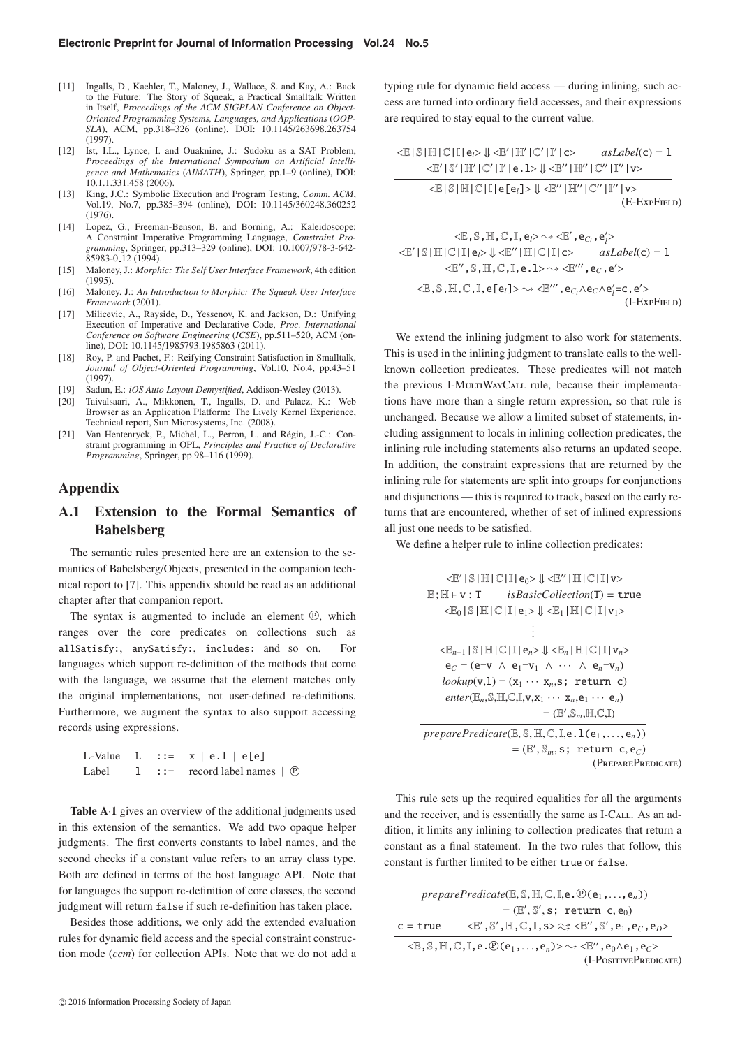- [11] Ingalls, D., Kaehler, T., Maloney, J., Wallace, S. and Kay, A.: Back to the Future: The Story of Squeak, a Practical Smalltalk Written in Itself, *Proceedings of the ACM SIGPLAN Conference on Object-Oriented Programming Systems, Languages, and Applications* (*OOP-SLA*), ACM, pp.318–326 (online), DOI: 10.1145/263698.263754 (1997).
- [12] Ist, I.L., Lynce, I. and Ouaknine, J.: Sudoku as a SAT Problem, *Proceedings of the International Symposium on Artificial Intelligence and Mathematics* (*AIMATH*), Springer, pp.1–9 (online), DOI: 10.1.1.331.458 (2006).
- [13] King, J.C.: Symbolic Execution and Program Testing, *Comm. ACM*, Vol.19, No.7, pp.385–394 (online), DOI: 10.1145/360248.360252 (1976).
- [14] Lopez, G., Freeman-Benson, B. and Borning, A.: Kaleidoscope: A Constraint Imperative Programming Language, *Constraint Programming*, Springer, pp.313–329 (online), DOI: 10.1007/978-3-642- 85983-0 12 (1994).
- [15] Maloney, J.: *Morphic: The Self User Interface Framework*, 4th edition (1995).
- [16] Maloney, J.: *An Introduction to Morphic: The Squeak User Interface Framework* (2001).
- [17] Milicevic, A., Rayside, D., Yessenov, K. and Jackson, D.: Unifying Execution of Imperative and Declarative Code, *Proc. International Conference on Software Engineering* (*ICSE*), pp.511–520, ACM (online), DOI: 10.1145/1985793.1985863 (2011).
- [18] Roy, P. and Pachet, F.: Reifying Constraint Satisfaction in Smalltalk, *Journal of Object-Oriented Programming*, Vol.10, No.4, pp.43–51 (1997).
- [19] Sadun, E.: *iOS Auto Layout Demystified*, Addison-Wesley (2013).
- [20] Taivalsaari, A., Mikkonen, T., Ingalls, D. and Palacz, K.: Web Browser as an Application Platform: The Lively Kernel Experience, Technical report, Sun Microsystems, Inc. (2008).
- [21] Van Hentenryck, P., Michel, L., Perron, L. and Régin, J.-C.: Constraint programming in OPL, *Principles and Practice of Declarative Programming*, Springer, pp.98–116 (1999).

## **Appendix**

# **A.1 Extension to the Formal Semantics of Babelsberg**

The semantic rules presented here are an extension to the semantics of Babelsberg/Objects, presented in the companion technical report to [7]. This appendix should be read as an additional chapter after that companion report.

The syntax is augmented to include an element  $\mathcal{D}$ , which ranges over the core predicates on collections such as allSatisfy:, anySatisfy:, includes: and so on. For languages which support re-definition of the methods that come with the language, we assume that the element matches only the original implementations, not user-defined re-definitions. Furthermore, we augment the syntax to also support accessing records using expressions.

|       |  | L-Value $L :: = x   e.1   e[e]$           |
|-------|--|-------------------------------------------|
| Label |  | 1 ::= record label names $  \Phi \rangle$ |

**Table A**·**1** gives an overview of the additional judgments used in this extension of the semantics. We add two opaque helper judgments. The first converts constants to label names, and the second checks if a constant value refers to an array class type. Both are defined in terms of the host language API. Note that for languages the support re-definition of core classes, the second judgment will return false if such re-definition has taken place.

Besides those additions, we only add the extended evaluation rules for dynamic field access and the special constraint construction mode (*ccm*) for collection APIs. Note that we do not add a

 $© 2016 Information Processing Society of Japan$ 

typing rule for dynamic field access — during inlining, such access are turned into ordinary field accesses, and their expressions are required to stay equal to the current value.

$$
\langle \mathbb{E} | \mathbb{S} | \mathbb{H} | \mathbb{C} | \mathbb{I} | \mathbf{e} \rangle \Downarrow \langle \mathbb{E}' | \mathbb{H}' | \mathbb{C}' | \mathbb{I}' | \mathbf{c} \rangle
$$
asLabel(c) = 1  

$$
\langle \mathbb{E}' | \mathbb{S}' | \mathbb{H}' | \mathbb{C}' | \mathbb{I}' | \mathbf{e}.1 \rangle \Downarrow \langle \mathbb{E}'' | \mathbb{H}'' | \mathbb{C}'' | \mathbb{I}'' | \mathbf{v} \rangle
$$
  

$$
\langle \mathbb{E} | \mathbb{S} | \mathbb{H} | \mathbb{C} | \mathbb{I} | \mathbf{e} [\mathbf{e}_i] \rangle \Downarrow \langle \mathbb{E}'' | \mathbb{H}'' | \mathbb{C}'' | \mathbb{I}'' | \mathbf{v} \rangle
$$
  
(E-ExpFileD)

$$
\langle \mathbb{E}, \mathbb{S}, \mathbb{H}, \mathbb{C}, \mathbb{I}, e \rangle \sim \langle \mathbb{E}', e_C, e'_i \rangle
$$
  

$$
\langle \mathbb{E}' | \mathbb{S} | \mathbb{H} | \mathbb{C} | \mathbb{I} | e \rangle \Downarrow \langle \mathbb{E}'' | \mathbb{H} | \mathbb{C} | \mathbb{I} | c \rangle
$$
 *asLabel*(c) = 1  

$$
\langle \mathbb{E}'', \mathbb{S}, \mathbb{H}, \mathbb{C}, \mathbb{I}, e.1 \rangle \sim \langle \mathbb{E}'''', e_C, e' \rangle
$$
  

$$
\langle \mathbb{E}, \mathbb{S}, \mathbb{H}, \mathbb{C}, \mathbb{I}, e[e_i] \rangle \sim \langle \mathbb{E}'''', e_{C_i} \wedge e_C \wedge e'_i = c, e' \rangle
$$
  
(I-ExpFieLD)

We extend the inlining judgment to also work for statements. This is used in the inlining judgment to translate calls to the wellknown collection predicates. These predicates will not match the previous I-MULTIWAYCALL rule, because their implementations have more than a single return expression, so that rule is unchanged. Because we allow a limited subset of statements, including assignment to locals in inlining collection predicates, the inlining rule including statements also returns an updated scope. In addition, the constraint expressions that are returned by the inlining rule for statements are split into groups for conjunctions and disjunctions — this is required to track, based on the early returns that are encountered, whether of set of inlined expressions all just one needs to be satisfied.

We define a helper rule to inline collection predicates:

$$
\langle \mathbb{E}' | \mathbb{S} | \mathbb{H} | \mathbb{C} | \mathbb{I} | e_0 \rangle \Downarrow \langle \mathbb{E}'' | \mathbb{H} | \mathbb{C} | \mathbb{I} | v \rangle
$$
  
\nE; H + v : T *isBasicCollection*(T) = true  
\n
$$
\langle \mathbb{E}_0 | \mathbb{S} | \mathbb{H} | \mathbb{C} | \mathbb{I} | e_1 \rangle \Downarrow \langle \mathbb{E}_1 | \mathbb{H} | \mathbb{C} | \mathbb{I} | v_1 \rangle
$$
  
\n
$$
\vdots
$$
  
\n
$$
\langle \mathbb{E}_{n-1} | \mathbb{S} | \mathbb{H} | \mathbb{C} | \mathbb{I} | e_n \rangle \Downarrow \langle \mathbb{E}_n | \mathbb{H} | \mathbb{C} | \mathbb{I} | v_n \rangle
$$
  
\n
$$
e_C = (e = v \land e_1 = v_1 \land \cdots \land e_n = v_n)
$$
  
\n
$$
lookup(v,1) = (x_1 \cdots x_n, s; return c)
$$
  
\n
$$
enter(\mathbb{E}_n, \mathbb{S}, \mathbb{H}, \mathbb{C}, \mathbb{I}, v, x_1 \cdots x_n, e_1 \cdots e_n)
$$
  
\n
$$
= (\mathbb{E}', \mathbb{S}_m, \mathbb{H}, \mathbb{C}, \mathbb{I})
$$
  
\n
$$
preparePredicate(\mathbb{E}, \mathbb{S}, \mathbb{H}, \mathbb{C}, \mathbb{I}, e, 1(e_1, \ldots, e_n))
$$
  
\n
$$
= (\mathbb{E}', \mathbb{S}_m, s; return c, e_C)
$$
  
\n
$$
(PREPAREPREDCATE)
$$

This rule sets up the required equalities for all the arguments and the receiver, and is essentially the same as I-CALL. As an addition, it limits any inlining to collection predicates that return a constant as a final statement. In the two rules that follow, this constant is further limited to be either true or false.

 $preparePredicate (\mathbb{E}, \mathbb{S}, \mathbb{H}, \mathbb{C}, \mathbb{I}, e \cdot \mathbb{P}(e_1, \ldots, e_n))$  $=(\mathbb{E}', \mathbb{S}', \mathbf{s}; \text{ return } \mathbf{c}, \mathbf{e}_0)$  $c = true$ ,  $\mathbb{S}', \mathbb{H}, \mathbb{C}, \mathbb{I}, \mathbb{s} \rangle \approx \texttt{<} \mathbb{E}'', \mathbb{S}', \mathsf{e}_1, \mathsf{e}_C, \mathsf{e}_D \texttt{>}$  $\langle \mathbb{E}, \mathbb{S}, \mathbb{H}, \mathbb{C}, \mathbb{I}, e \cdot \mathbb{D}(e_1, \ldots, e_n) \rangle \rightsquigarrow \langle \mathbb{E}'', e_0 \wedge e_1, e_C \rangle$ (I-PositivePredicate)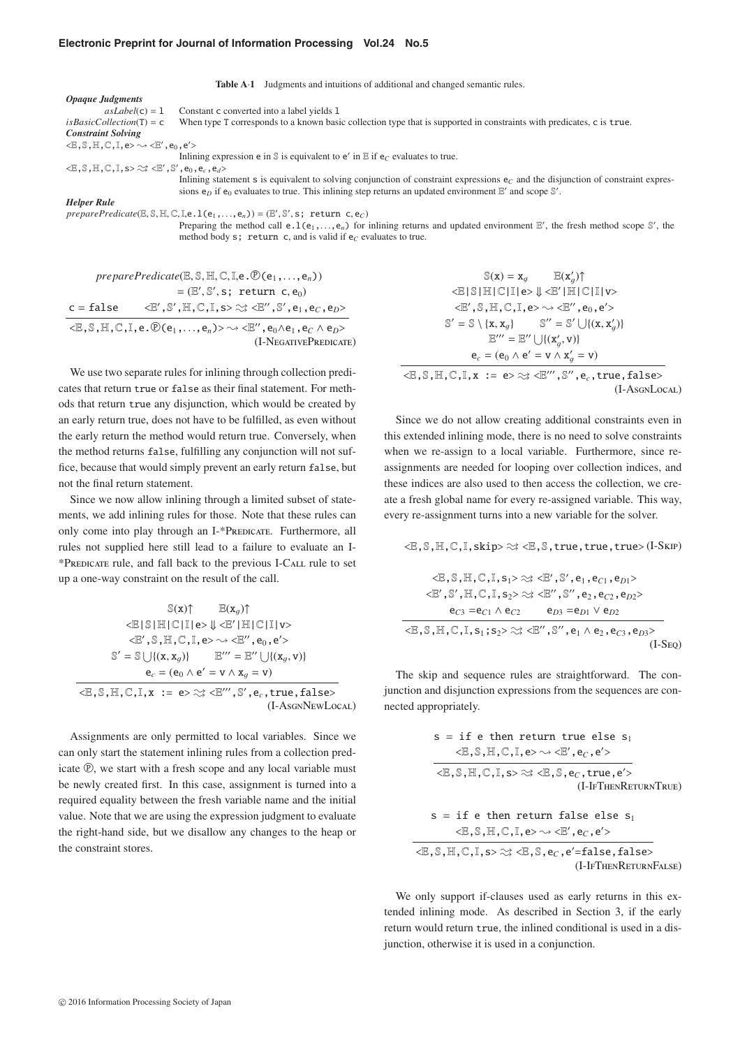#### **Electronic Preprint for Journal of Information Processing Vol.24 No.5**

**Table A**<sup> $\cdot$ 1</sup> Judgments and intuitions of additional and changed semantic rules. *Opaque Judgments*  $a sLabel(c) = 1$  Constant c converted into a label yields 1 *is Basic Collection*(T) = c When type T corresponds to a known basi When type T corresponds to a known basic collection type that is supported in constraints with predicates, c is true. *Constraint Solving*  $\langle \mathbb{E}, \mathbb{S}, \mathbb{H}, \mathbb{C}, \mathbb{I}, e \rangle \rightarrow \langle \mathbb{E}', e_0, e' \rangle$ Inlining expression e in  $\mathbb S$  is equivalent to e' in  $\mathbb E$  if  $e_C$  evaluates to true.  $\langle \mathbb{E}, \mathbb{S}, \mathbb{H}, \mathbb{C}, \mathbb{I}, \mathsf{s}\rangle \gtrsim \langle \mathbb{E}', \mathbb{S}', \mathsf{e}_0, \mathsf{e}_c, \mathsf{e}_d \rangle$ Inlining statement s is equivalent to solving conjunction of constraint expressions  $e_C$  and the disjunction of constraint expressions  $e_D$  if  $e_0$  evaluates to true. This inlining step returns an updated environment  $E'$  and scope  $\mathbb{S}'$ . *Helper Rule preparePredicate*( $\mathbb{E}, \mathbb{S}, \mathbb{H}, \mathbb{C}, \mathbb{I}, \mathbb{C} \cdot \mathbb{I}(\mathsf{e}_1, \dots, \mathsf{e}_n) = (\mathbb{E}', \mathbb{S}', \mathsf{s};$  return c,  $\mathsf{e}_C$ )<br>Preparing the method call **e** 1 (**e**, **e**) for Preparing the method call  $e \cdot l(e_1, \ldots, e_n)$  for inlining returns and updated environment  $E'$ , the fresh method scope  $S'$ , the method body  $s'$ , return  $c$  and is valid if  $e \circ e$  evaluates to true. method body  $s$ ; return c, and is valid if  $e_C$  evaluates to true.

 $preparePredicate (\mathbb{E}, \mathbb{S}, \mathbb{H}, \mathbb{C}, \mathbb{I}, e \cdot \mathbb{D}(e_1, \ldots, e_n))$  $=(\mathbb{E}', \mathbb{S}', \mathsf{s}; \text{ return } \mathsf{c}, \mathsf{e}_0)$  $c = false$ ,  $\mathbb{S}', \mathbb{H}, \mathbb{C}$  ,  $\mathbb{I}$  , s>  $\approx$   $\times$   $\mathbb{E}''$  ,  $\mathbb{S}'$  ,  $\mathsf{e}_1$  ,  $\mathsf{e}_C$  ,  $\mathsf{e}_D$  >  $\langle \mathbb{E}, \mathbb{S}, \mathbb{H}, \mathbb{C}, \mathbb{I}, e \cdot \mathbb{P}(e_1, \ldots, e_n) \rangle \sim \langle \mathbb{E}'', e_0 \wedge e_1, e_C \wedge e_D \rangle$ (I-NegativePredicate)

We use two separate rules for inlining through collection predicates that return true or false as their final statement. For methods that return true any disjunction, which would be created by an early return true, does not have to be fulfilled, as even without the early return the method would return true. Conversely, when the method returns false, fulfilling any conjunction will not suffice, because that would simply prevent an early return false, but not the final return statement.

Since we now allow inlining through a limited subset of statements, we add inlining rules for those. Note that these rules can only come into play through an I-\*PREDICATE. Furthermore, all rules not supplied here still lead to a failure to evaluate an I- \*Predicate rule, and fall back to the previous I-Call rule to set up a one-way constraint on the result of the call.

$$
\mathbb{S}(x) \uparrow \qquad \mathbb{E}(x_g) \uparrow
$$
  

$$
\langle \mathbb{E} | \mathbb{S} | \mathbb{H} | \mathbb{C} | \mathbb{I} | e \rangle \Downarrow \langle \mathbb{E}' | \mathbb{H} | \mathbb{C} | \mathbb{I} | v \rangle
$$
  

$$
\langle \mathbb{E}', \mathbb{S}, \mathbb{H}, \mathbb{C}, \mathbb{I}, e \rangle \sim \langle \mathbb{E}'', e_0, e' \rangle
$$
  

$$
\mathbb{S}' = \mathbb{S} \cup \{ (x, x_g) \} \qquad \mathbb{E}''' = \mathbb{E}'' \cup \{ (x_g, v) \}
$$
  

$$
e_c = (e_0 \land e' = v \land x_g = v)
$$
  

$$
\langle \mathbb{E}, \mathbb{S}, \mathbb{H}, \mathbb{C}, \mathbb{I}, x := e \rangle \approx \langle \mathbb{E}''', \mathbb{S}', e_c, \text{true}, \text{false} \rangle
$$
  
(I-AsgnNewLocal)

Assignments are only permitted to local variables. Since we can only start the statement inlining rules from a collection predicate  $\mathcal{D}$ , we start with a fresh scope and any local variable must be newly created first. In this case, assignment is turned into a required equality between the fresh variable name and the initial value. Note that we are using the expression judgment to evaluate the right-hand side, but we disallow any changes to the heap or

 $\mathbb{S}(\mathbf{x}) = \mathbf{x}_a$  $\mathbb{E}(\mathbf{x}'_a)$ <E|S|H|C|I|e> ⇓ <E |H|C|I|v>  $\langle \mathbb{E}', \mathbb{S}, \mathbb{H}, \mathbb{C}, \mathbb{I}, e \rangle \sim \langle \mathbb{E}'', e_0, e' \rangle$  $\mathbb{S}' = \mathbb{S} \setminus \{x, x_g\}$   $\mathbb{S}'' = \mathbb{S}' \cup \{(x, x'_g)\}\$  $\mathbb{E}''' = \mathbb{E}'' \cup \{(\mathbf{x}'_g, \mathbf{v})\}$  $e_c = (e_0 \wedge e' = v \wedge x'_g = v)$  $\langle \mathbb{E}, \mathbb{S}, \mathbb{H}, \mathbb{C}, \mathbb{I}, x \rangle := e \rangle \approx \langle \mathbb{E}''', \mathbb{S}'', e_{c}, \text{true}, \text{false} \rangle$ (I-AsgnLocal)

Since we do not allow creating additional constraints even in this extended inlining mode, there is no need to solve constraints when we re-assign to a local variable. Furthermore, since reassignments are needed for looping over collection indices, and these indices are also used to then access the collection, we create a fresh global name for every re-assigned variable. This way, every re-assignment turns into a new variable for the solver.

 $\langle \mathbb{E}, \mathbb{S}, \mathbb{H}, \mathbb{C}, \mathbb{I}, \text{skip} \rangle \gg \langle \mathbb{E}, \mathbb{S}, \text{true}, \text{true}, \text{true} \rangle$  (I-Skip)

$$
\langle \mathbb{E}, \mathbb{S}, \mathbb{H}, \mathbb{C}, \mathbb{I}, s_1 \rangle \approx \langle \mathbb{E}', \mathbb{S}', e_1, e_{C1}, e_{D1} \rangle
$$
  

$$
\langle \mathbb{E}', \mathbb{S}', \mathbb{H}, \mathbb{C}, \mathbb{I}, s_2 \rangle \approx \langle \mathbb{E}'', \mathbb{S}'', e_2, e_{C2}, e_{D2} \rangle
$$
  

$$
e_{C3} = e_{C1} \wedge e_{C2} \qquad e_{D3} = e_{D1} \vee e_{D2}
$$
  

$$
\langle \mathbb{E}, \mathbb{S}, \mathbb{H}, \mathbb{C}, \mathbb{I}, s_1; s_2 \rangle \approx \langle \mathbb{E}'', \mathbb{S}'', e_1 \wedge e_2, e_{C3}, e_{D3} \rangle
$$
  
(I-Step)

The skip and sequence rules are straightforward. The conjunction and disjunction expressions from the sequences are connected appropriately.

$$
s = \text{if } e \text{ then return true else } s_1
$$
\n
$$
\langle \mathbb{E}, \mathbb{S}, \mathbb{H}, \mathbb{C}, I, e \rangle \sim \langle \mathbb{E}', e_C, e' \rangle
$$
\n
$$
\langle \mathbb{E}, \mathbb{S}, \mathbb{H}, \mathbb{C}, I, s \rangle \approx \langle \mathbb{E}, \mathbb{S}, e_C, \text{true}, e' \rangle
$$
\n
$$
(I-IrTHENRETURNTRUE)
$$
\n
$$
s = \text{if } e \text{ then return false else } s_1
$$
\n
$$
\langle \mathbb{E}, \mathbb{S}, \mathbb{H}, \mathbb{C}, I, e \rangle \sim \langle \mathbb{E}', e_C, e' \rangle
$$
\n
$$
\langle \mathbb{E}, \mathbb{S}, \mathbb{H}, \mathbb{C}, I, s \rangle \approx \langle \mathbb{E}, \mathbb{S}, e_C, e' = \text{false}, \text{false} \rangle
$$
\n
$$
(I-IrHERRETURNFALSE)
$$

We only support if-clauses used as early returns in this extended inlining mode. As described in Section 3, if the early return would return true, the inlined conditional is used in a disjunction, otherwise it is used in a conjunction.

the constraint stores.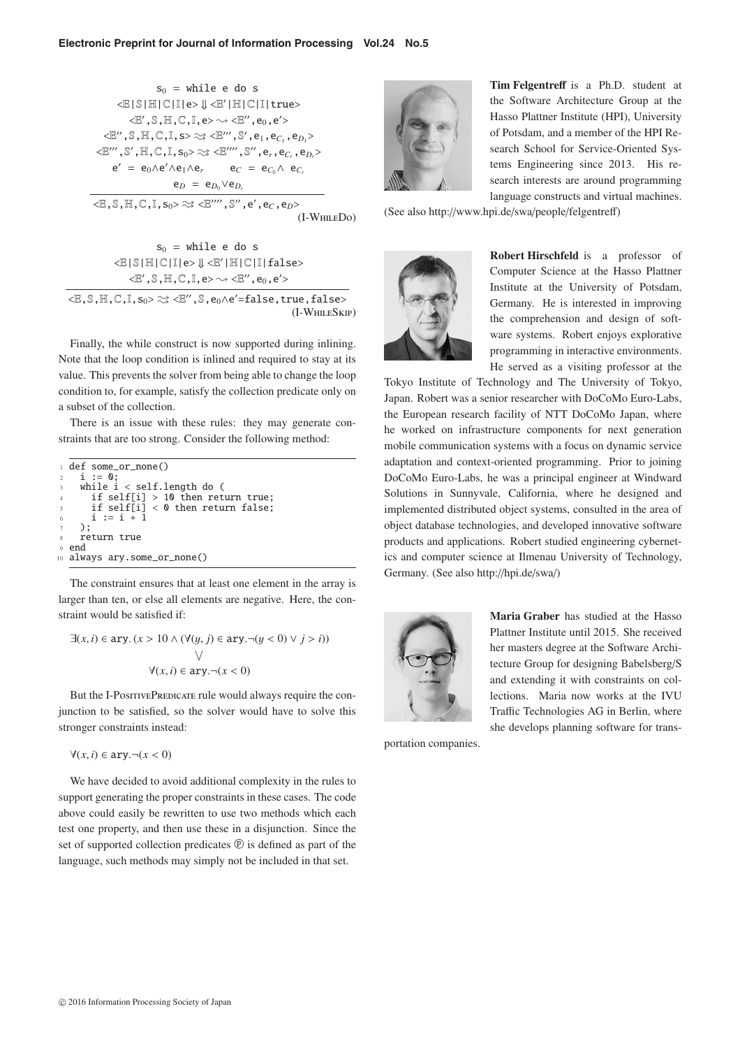$$
s_0 = \text{while } e \text{ do } s
$$
\n
$$
\langle \mathbb{E} | \mathbb{S} | \mathbb{H} | \mathbb{C} | \mathbb{I} | e \rangle \Downarrow \langle \mathbb{E}' | \mathbb{H} | \mathbb{C} | \mathbb{I} | \text{true} \rangle
$$
\n
$$
\langle \mathbb{E}', \mathbb{S}, \mathbb{H}, \mathbb{C}, \mathbb{I}, e \rangle \sim \langle \mathbb{E}'', e_0, e' \rangle
$$
\n
$$
\langle \mathbb{E}'', \mathbb{S}, \mathbb{H}, \mathbb{C}, \mathbb{I}, s \rangle \approx \langle \mathbb{E}''', \mathbb{S}', e_1, e_{C_1}, e_{D_1} \rangle
$$
\n
$$
\langle \mathbb{E}''', \mathbb{S}', \mathbb{H}, \mathbb{C}, \mathbb{I}, s_0 \rangle \approx \langle \mathbb{E}''', \mathbb{S}'', e_r, e_{C_r}, e_{D_r} \rangle
$$
\n
$$
e' = e_0 \wedge e' \wedge e_1 \wedge e_r \qquad e_C = e_{C_0} \wedge e_{C_r}
$$
\n
$$
e_D = e_{D_0} \vee e_{D_r}
$$
\n
$$
\langle \mathbb{E}, \mathbb{S}, \mathbb{H}, \mathbb{C}, \mathbb{I}, s_0 \rangle \approx \langle \mathbb{E}''', \mathbb{S}'', e', e_C, e_D \rangle
$$
\n
$$
(I-WHILEDo)
$$

 $s_0$  = while e do s  $\langle \mathbb{E} | \mathbb{S} | \mathbb{H} | \mathbb{C} | \mathbb{I} | e \rangle \Downarrow \langle \mathbb{E}' | \mathbb{H} | \mathbb{C} | \mathbb{I} |$  false>  $<\!\!\mathbb{E}'$  ,  $\mathbb{S}$  ,  $\mathbb{H}$  ,  $\mathbb{C}$  ,  $\mathbb{I}$  ,  $e\!\!\succ\!\!\sim\!\prec\!\!\mathbb{E}''$  ,  $e_0$  ,  $e'\!\!>$ 

 $<\!\!\mathbb{E}\, , \mathbb{S}\, , \mathbb{H}\, , \mathbb{C}\, , \mathbb{I}\, , s_0\!\!> \approx\, \ll\!\!\mathbb{E}^{\prime\prime}\, , \mathbb{S}\, , e_0\wedge\mathrm{e}^\prime\!\!=\!\mathrm{false}\, , \mathrm{true}\, , \mathrm{false}\!\!>$ (I-WhileSkip)

Finally, the while construct is now supported during inlining. Note that the loop condition is inlined and required to stay at its value. This prevents the solver from being able to change the loop condition to, for example, satisfy the collection predicate only on a subset of the collection.

There is an issue with these rules: they may generate constraints that are too strong. Consider the following method:

|                | def some_or_none()                           |
|----------------|----------------------------------------------|
| $\overline{2}$ | $i := 0:$                                    |
| $\overline{3}$ | while $i <$ self.length do (                 |
|                | if self[i] $> 10$ then return true;<br>$4 -$ |
| $5^{\circ}$    | if self[i] $<$ 0 then return false;          |
|                | 6 $i := i + 1$                               |
|                | $7 \rightarrow$                              |
|                | 8 return true                                |
| $\mathbf{Q}$   | end                                          |
|                | 10 always ary.some_or_none()                 |
|                |                                              |

The constraint ensures that at least one element in the array is larger than ten, or else all elements are negative. Here, the constraint would be satisfied if:

<sup>∃</sup>(*x*, *<sup>i</sup>*) <sup>∈</sup> ary. (*<sup>x</sup>* > <sup>10</sup> <sup>∧</sup> (∀(y, *<sup>j</sup>*) <sup>∈</sup> ary.¬(y < 0) <sup>∨</sup> *<sup>j</sup>* > *<sup>i</sup>*)) V  $\forall$ (*x*, *i*) ∈ ary.¬(*x* < 0)

But the I-PositivePredicate rule would always require the conjunction to be satisfied, so the solver would have to solve this stronger constraints instead:

$$
\forall (x, i) \in \text{ary.} \neg (x < 0)
$$

We have decided to avoid additional complexity in the rules to support generating the proper constraints in these cases. The code above could easily be rewritten to use two methods which each test one property, and then use these in a disjunction. Since the set of supported collection predicates  $\mathcal{P}$  is defined as part of the language, such methods may simply not be included in that set.



**Tim Felgentre**ff is a Ph.D. student at the Software Architecture Group at the Hasso Plattner Institute (HPI), University of Potsdam, and a member of the HPI Research School for Service-Oriented Systems Engineering since 2013. His research interests are around programming language constructs and virtual machines.

(See also http://www.hpi.de/swa/people/felgentreff)



**Robert Hirschfeld** is a professor of Computer Science at the Hasso Plattner Institute at the University of Potsdam, Germany. He is interested in improving the comprehension and design of software systems. Robert enjoys explorative programming in interactive environments. He served as a visiting professor at the

Tokyo Institute of Technology and The University of Tokyo, Japan. Robert was a senior researcher with DoCoMo Euro-Labs, the European research facility of NTT DoCoMo Japan, where he worked on infrastructure components for next generation mobile communication systems with a focus on dynamic service adaptation and context-oriented programming. Prior to joining DoCoMo Euro-Labs, he was a principal engineer at Windward Solutions in Sunnyvale, California, where he designed and implemented distributed object systems, consulted in the area of object database technologies, and developed innovative software products and applications. Robert studied engineering cybernetics and computer science at Ilmenau University of Technology, Germany. (See also http://hpi.de/swa/)



**Maria Graber** has studied at the Hasso Plattner Institute until 2015. She received her masters degree at the Software Architecture Group for designing Babelsberg/S and extending it with constraints on collections. Maria now works at the IVU Traffic Technologies AG in Berlin, where she develops planning software for trans-

portation companies.